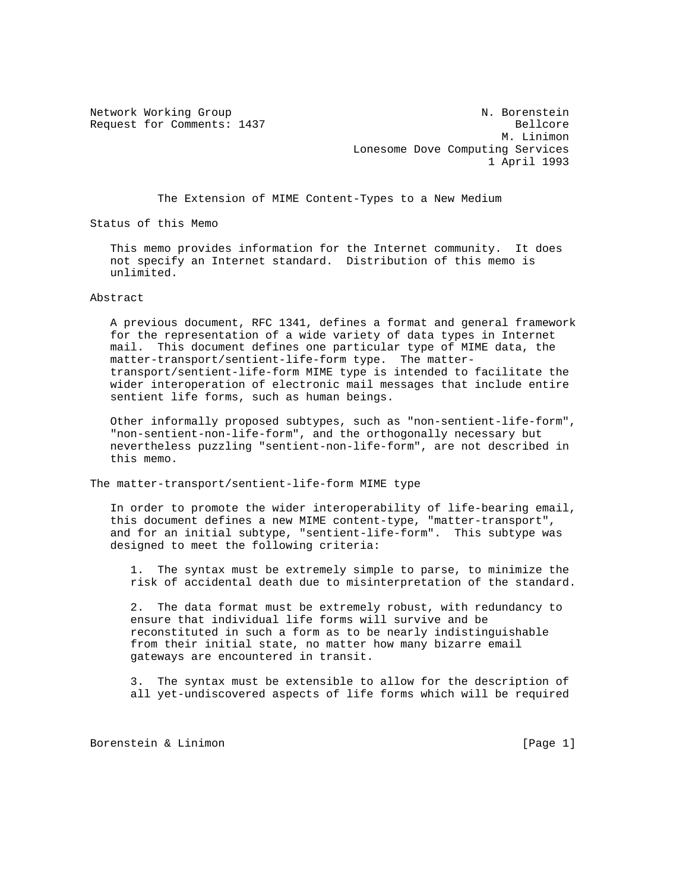Network Working Group N. Borenstein Request for Comments: 1437 Bellcore M. Linimon Lonesome Dove Computing Services 1 April 1993

The Extension of MIME Content-Types to a New Medium

Status of this Memo

 This memo provides information for the Internet community. It does not specify an Internet standard. Distribution of this memo is unlimited.

Abstract

 A previous document, RFC 1341, defines a format and general framework for the representation of a wide variety of data types in Internet mail. This document defines one particular type of MIME data, the matter-transport/sentient-life-form type. The matter transport/sentient-life-form MIME type is intended to facilitate the wider interoperation of electronic mail messages that include entire sentient life forms, such as human beings.

 Other informally proposed subtypes, such as "non-sentient-life-form", "non-sentient-non-life-form", and the orthogonally necessary but nevertheless puzzling "sentient-non-life-form", are not described in this memo.

The matter-transport/sentient-life-form MIME type

 In order to promote the wider interoperability of life-bearing email, this document defines a new MIME content-type, "matter-transport", and for an initial subtype, "sentient-life-form". This subtype was designed to meet the following criteria:

 1. The syntax must be extremely simple to parse, to minimize the risk of accidental death due to misinterpretation of the standard.

 2. The data format must be extremely robust, with redundancy to ensure that individual life forms will survive and be reconstituted in such a form as to be nearly indistinguishable from their initial state, no matter how many bizarre email gateways are encountered in transit.

 3. The syntax must be extensible to allow for the description of all yet-undiscovered aspects of life forms which will be required

Borenstein & Linimon [Page 1]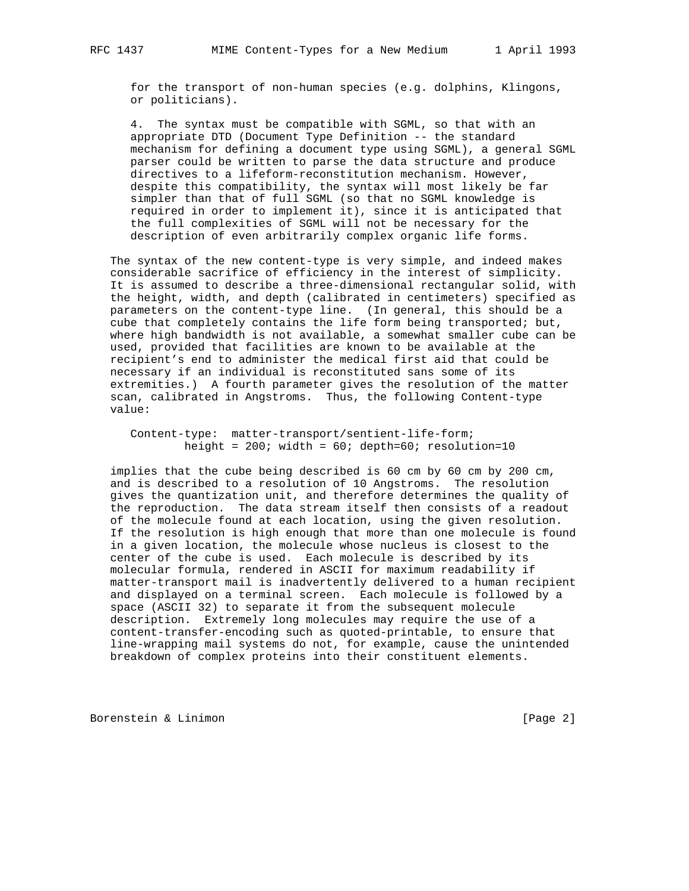for the transport of non-human species (e.g. dolphins, Klingons, or politicians).

 4. The syntax must be compatible with SGML, so that with an appropriate DTD (Document Type Definition -- the standard mechanism for defining a document type using SGML), a general SGML parser could be written to parse the data structure and produce directives to a lifeform-reconstitution mechanism. However, despite this compatibility, the syntax will most likely be far simpler than that of full SGML (so that no SGML knowledge is required in order to implement it), since it is anticipated that the full complexities of SGML will not be necessary for the description of even arbitrarily complex organic life forms.

 The syntax of the new content-type is very simple, and indeed makes considerable sacrifice of efficiency in the interest of simplicity. It is assumed to describe a three-dimensional rectangular solid, with the height, width, and depth (calibrated in centimeters) specified as parameters on the content-type line. (In general, this should be a cube that completely contains the life form being transported; but, where high bandwidth is not available, a somewhat smaller cube can be used, provided that facilities are known to be available at the recipient's end to administer the medical first aid that could be necessary if an individual is reconstituted sans some of its extremities.) A fourth parameter gives the resolution of the matter scan, calibrated in Angstroms. Thus, the following Content-type value:

 Content-type: matter-transport/sentient-life-form; height =  $200$ ; width =  $60$ ; depth= $60$ ; resolution=10

 implies that the cube being described is 60 cm by 60 cm by 200 cm, and is described to a resolution of 10 Angstroms. The resolution gives the quantization unit, and therefore determines the quality of the reproduction. The data stream itself then consists of a readout of the molecule found at each location, using the given resolution. If the resolution is high enough that more than one molecule is found in a given location, the molecule whose nucleus is closest to the center of the cube is used. Each molecule is described by its molecular formula, rendered in ASCII for maximum readability if matter-transport mail is inadvertently delivered to a human recipient and displayed on a terminal screen. Each molecule is followed by a space (ASCII 32) to separate it from the subsequent molecule description. Extremely long molecules may require the use of a content-transfer-encoding such as quoted-printable, to ensure that line-wrapping mail systems do not, for example, cause the unintended breakdown of complex proteins into their constituent elements.

Borenstein & Linimon **by Example 2** and Example 2 and Example 2 and Example 2 and Example 2 and Example 2 and Example 2 and Example 2 and Example 2 and Example 2 and Example 2 and Example 2 and Example 2 and Example 2 and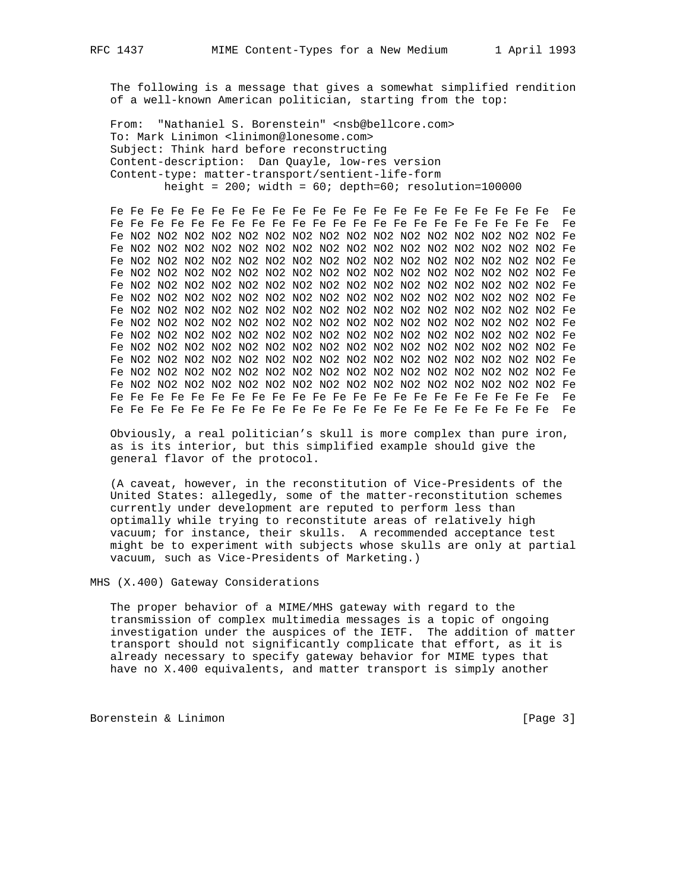The following is a message that gives a somewhat simplified rendition of a well-known American politician, starting from the top:

 From: "Nathaniel S. Borenstein" <nsb@bellcore.com> To: Mark Linimon <linimon@lonesome.com> Subject: Think hard before reconstructing Content-description: Dan Quayle, low-res version Content-type: matter-transport/sentient-life-form height =  $200$ ; width =  $60$ ; depth= $60$ ; resolution=100000

 Fe Fe Fe Fe Fe Fe Fe Fe Fe Fe Fe Fe Fe Fe Fe Fe Fe Fe Fe Fe Fe Fe Fe Fe Fe Fe Fe Fe Fe Fe Fe Fe Fe Fe Fe Fe Fe Fe Fe Fe Fe Fe Fe Fe Fe Fe Fe NO2 NO2 NO2 NO2 NO2 NO2 NO2 NO2 NO2 NO2 NO2 NO2 NO2 NO2 NO2 NO2 Fe Fe NO2 NO2 NO2 NO2 NO2 NO2 NO2 NO2 NO2 NO2 NO2 NO2 NO2 NO2 NO2 NO2 Fe Fe NO2 NO2 NO2 NO2 NO2 NO2 NO2 NO2 NO2 NO2 NO2 NO2 NO2 NO2 NO2 NO2 Fe Fe NO2 NO2 NO2 NO2 NO2 NO2 NO2 NO2 NO2 NO2 NO2 NO2 NO2 NO2 NO2 NO2 Fe Fe NO2 NO2 NO2 NO2 NO2 NO2 NO2 NO2 NO2 NO2 NO2 NO2 NO2 NO2 NO2 NO2 Fe Fe NO2 NO2 NO2 NO2 NO2 NO2 NO2 NO2 NO2 NO2 NO2 NO2 NO2 NO2 NO2 NO2 Fe Fe NO2 NO2 NO2 NO2 NO2 NO2 NO2 NO2 NO2 NO2 NO2 NO2 NO2 NO2 NO2 NO2 Fe Fe NO2 NO2 NO2 NO2 NO2 NO2 NO2 NO2 NO2 NO2 NO2 NO2 NO2 NO2 NO2 NO2 Fe Fe NO2 NO2 NO2 NO2 NO2 NO2 NO2 NO2 NO2 NO2 NO2 NO2 NO2 NO2 NO2 NO2 Fe Fe NO2 NO2 NO2 NO2 NO2 NO2 NO2 NO2 NO2 NO2 NO2 NO2 NO2 NO2 NO2 NO2 Fe Fe NO2 NO2 NO2 NO2 NO2 NO2 NO2 NO2 NO2 NO2 NO2 NO2 NO2 NO2 NO2 NO2 Fe Fe NO2 NO2 NO2 NO2 NO2 NO2 NO2 NO2 NO2 NO2 NO2 NO2 NO2 NO2 NO2 NO2 Fe Fe NO2 NO2 NO2 NO2 NO2 NO2 NO2 NO2 NO2 NO2 NO2 NO2 NO2 NO2 NO2 NO2 Fe Fe Fe Fe Fe Fe Fe Fe Fe Fe Fe Fe Fe Fe Fe Fe Fe Fe Fe Fe Fe Fe Fe Fe Fe Fe Fe Fe Fe Fe Fe Fe Fe Fe Fe Fe Fe Fe Fe Fe Fe Fe Fe Fe Fe Fe Fe

 Obviously, a real politician's skull is more complex than pure iron, as is its interior, but this simplified example should give the general flavor of the protocol.

 (A caveat, however, in the reconstitution of Vice-Presidents of the United States: allegedly, some of the matter-reconstitution schemes currently under development are reputed to perform less than optimally while trying to reconstitute areas of relatively high vacuum; for instance, their skulls. A recommended acceptance test might be to experiment with subjects whose skulls are only at partial vacuum, such as Vice-Presidents of Marketing.)

MHS (X.400) Gateway Considerations

 The proper behavior of a MIME/MHS gateway with regard to the transmission of complex multimedia messages is a topic of ongoing investigation under the auspices of the IETF. The addition of matter transport should not significantly complicate that effort, as it is already necessary to specify gateway behavior for MIME types that have no X.400 equivalents, and matter transport is simply another

Borenstein & Linimon **by Example 20** and the set of  $[Page 3]$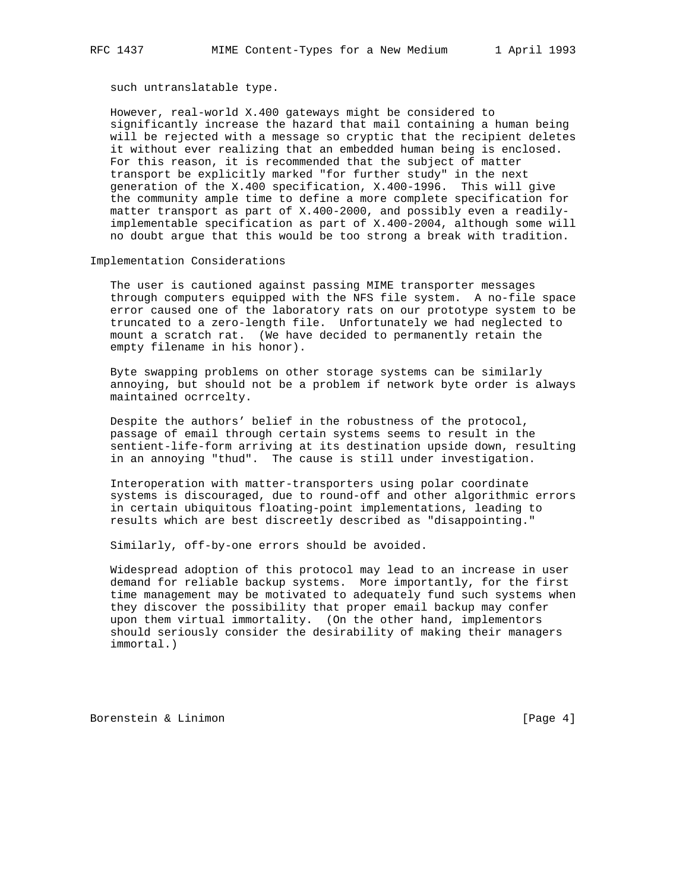such untranslatable type.

 However, real-world X.400 gateways might be considered to significantly increase the hazard that mail containing a human being will be rejected with a message so cryptic that the recipient deletes it without ever realizing that an embedded human being is enclosed. For this reason, it is recommended that the subject of matter transport be explicitly marked "for further study" in the next generation of the X.400 specification, X.400-1996. This will give the community ample time to define a more complete specification for matter transport as part of X.400-2000, and possibly even a readily implementable specification as part of X.400-2004, although some will no doubt argue that this would be too strong a break with tradition.

Implementation Considerations

 The user is cautioned against passing MIME transporter messages through computers equipped with the NFS file system. A no-file space error caused one of the laboratory rats on our prototype system to be truncated to a zero-length file. Unfortunately we had neglected to mount a scratch rat. (We have decided to permanently retain the empty filename in his honor).

 Byte swapping problems on other storage systems can be similarly annoying, but should not be a problem if network byte order is always maintained ocrrcelty.

 Despite the authors' belief in the robustness of the protocol, passage of email through certain systems seems to result in the sentient-life-form arriving at its destination upside down, resulting in an annoying "thud". The cause is still under investigation.

 Interoperation with matter-transporters using polar coordinate systems is discouraged, due to round-off and other algorithmic errors in certain ubiquitous floating-point implementations, leading to results which are best discreetly described as "disappointing."

Similarly, off-by-one errors should be avoided.

 Widespread adoption of this protocol may lead to an increase in user demand for reliable backup systems. More importantly, for the first time management may be motivated to adequately fund such systems when they discover the possibility that proper email backup may confer upon them virtual immortality. (On the other hand, implementors should seriously consider the desirability of making their managers immortal.)

Borenstein & Linimon [Page 4]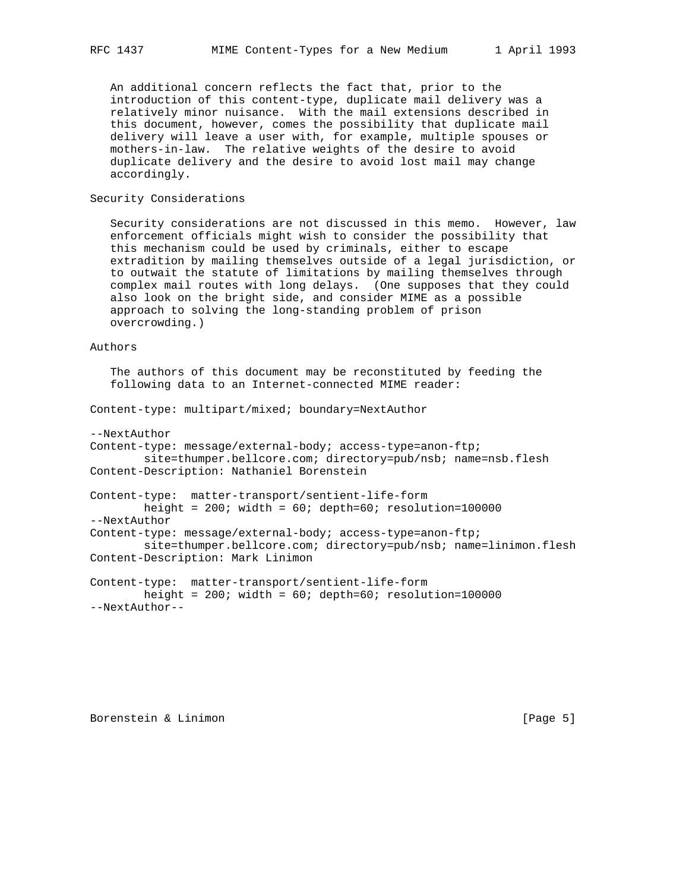An additional concern reflects the fact that, prior to the introduction of this content-type, duplicate mail delivery was a relatively minor nuisance. With the mail extensions described in this document, however, comes the possibility that duplicate mail delivery will leave a user with, for example, multiple spouses or mothers-in-law. The relative weights of the desire to avoid duplicate delivery and the desire to avoid lost mail may change accordingly.

## Security Considerations

 Security considerations are not discussed in this memo. However, law enforcement officials might wish to consider the possibility that this mechanism could be used by criminals, either to escape extradition by mailing themselves outside of a legal jurisdiction, or to outwait the statute of limitations by mailing themselves through complex mail routes with long delays. (One supposes that they could also look on the bright side, and consider MIME as a possible approach to solving the long-standing problem of prison overcrowding.)

## Authors

 The authors of this document may be reconstituted by feeding the following data to an Internet-connected MIME reader:

Content-type: multipart/mixed; boundary=NextAuthor

```
--NextAuthor
```
Content-type: message/external-body; access-type=anon-ftp; site=thumper.bellcore.com; directory=pub/nsb; name=nsb.flesh Content-Description: Nathaniel Borenstein

Content-type: matter-transport/sentient-life-form height =  $200$ ; width =  $60$ ; depth= $60$ ; resolution= $100000$ --NextAuthor Content-type: message/external-body; access-type=anon-ftp; site=thumper.bellcore.com; directory=pub/nsb; name=linimon.flesh Content-Description: Mark Linimon

Content-type: matter-transport/sentient-life-form height =  $200$ ; width =  $60$ ; depth= $60$ ; resolution= $100000$ --NextAuthor--